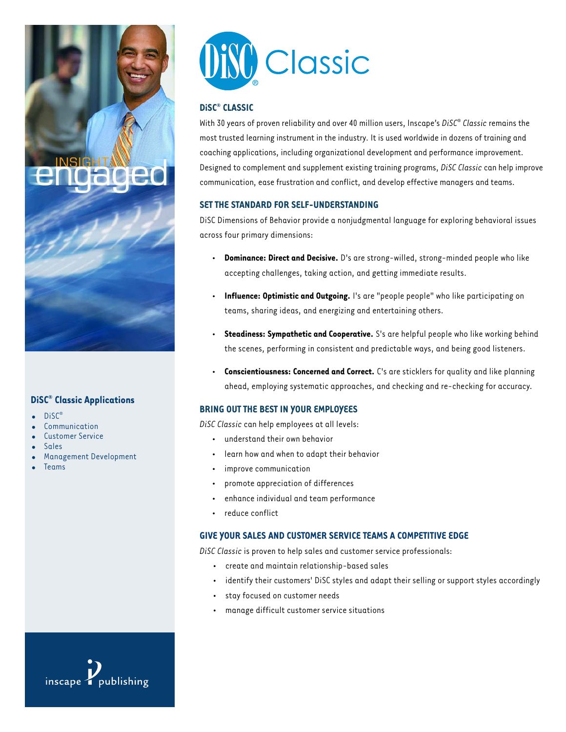

## **DiSC® Classic Applications**

- **•** DiSC®
- **•** Communication
- **•** Customer Service
- **•** Sales
- **•** Management Development
- **•** Teams



## **DiSC® CLASSIC**

With 30 years of proven reliability and over 40 million users, Inscape's *DiSC*® *Classic*remains the most trusted learning instrument in the industry. It is used worldwide in dozens of training and coaching applications, including organizational development and performance improvement. Designed to complement and supplement existing training programs, *DiSC Classic*can help improve communication, ease frustration and conflict, and develop effective managers and teams.

## **SET THE STANDARD FOR SELF-UNDERSTANDING**

DiSC Dimensions of Behavior provide a nonjudgmental language for exploring behavioral issues across four primary dimensions:

- **Dominance: Direct and Decisive.** D's are strong-willed, strong-minded people who like accepting challenges, taking action, and getting immediate results.
- **Influence: Optimistic and Outgoing.** I's are "people people" who like participating on teams, sharing ideas, and energizing and entertaining others.
- **Steadiness: Sympathetic and Cooperative.** S's are helpful people who like working behind the scenes, performing in consistent and predictable ways, and being good listeners.
- **Conscientiousness: Concerned and Correct.** C's are sticklers for quality and like planning ahead, employing systematic approaches, and checking and re-checking for accuracy.

## **BRING OUT THE BEST IN YOUR EMPLOYEES**

*DiSC Classic*can help employees at all levels:

- understand their own behavior
- learn how and when to adapt their behavior
- improve communication
- promote appreciation of differences
- enhance individual and team performance
- reduce conflict

## **GIVE YOUR SALES AND CUSTOMER SERVICE TEAMS A COMPETITIVE EDGE**

*DiSC Classic*is proven to help sales and customer service professionals:

- create and maintain relationship-based sales
- identify their customers' DiSC styles and adapt their selling or support styles accordingly
- stay focused on customer needs
- manage difficult customer service situations